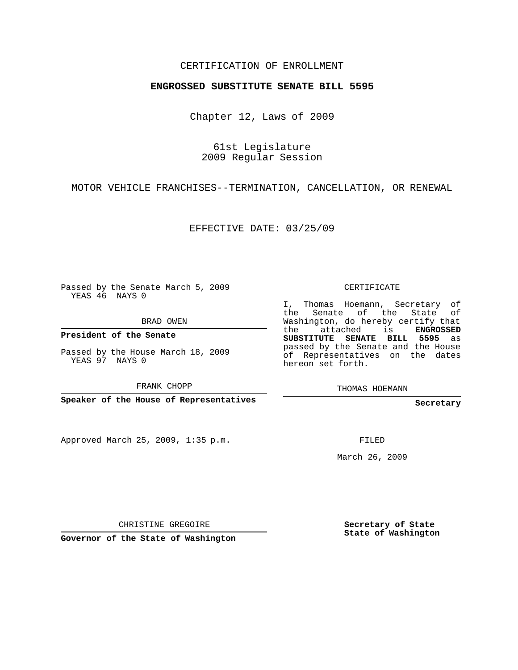## CERTIFICATION OF ENROLLMENT

## **ENGROSSED SUBSTITUTE SENATE BILL 5595**

Chapter 12, Laws of 2009

61st Legislature 2009 Regular Session

MOTOR VEHICLE FRANCHISES--TERMINATION, CANCELLATION, OR RENEWAL

EFFECTIVE DATE: 03/25/09

Passed by the Senate March 5, 2009 YEAS 46 NAYS 0

BRAD OWEN

**President of the Senate**

Passed by the House March 18, 2009 YEAS 97 NAYS 0

FRANK CHOPP

**Speaker of the House of Representatives**

Approved March 25, 2009, 1:35 p.m.

CERTIFICATE

I, Thomas Hoemann, Secretary of the Senate of the State of Washington, do hereby certify that the attached is **ENGROSSED SUBSTITUTE SENATE BILL 5595** as passed by the Senate and the House of Representatives on the dates hereon set forth.

THOMAS HOEMANN

**Secretary**

FILED

March 26, 2009

CHRISTINE GREGOIRE

**Governor of the State of Washington**

**Secretary of State State of Washington**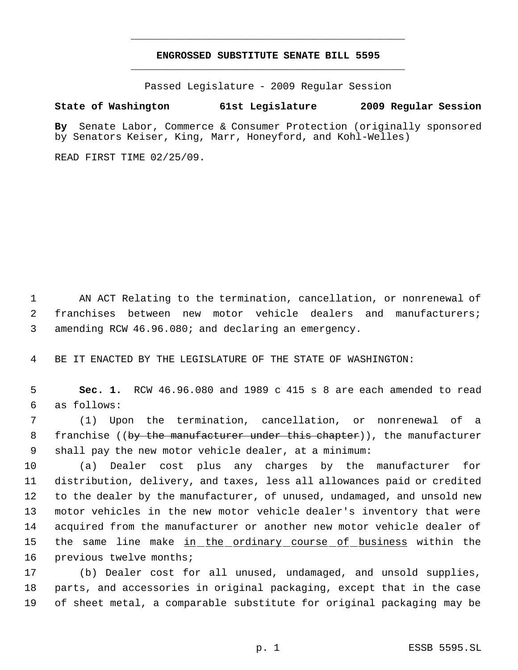## **ENGROSSED SUBSTITUTE SENATE BILL 5595** \_\_\_\_\_\_\_\_\_\_\_\_\_\_\_\_\_\_\_\_\_\_\_\_\_\_\_\_\_\_\_\_\_\_\_\_\_\_\_\_\_\_\_\_\_

\_\_\_\_\_\_\_\_\_\_\_\_\_\_\_\_\_\_\_\_\_\_\_\_\_\_\_\_\_\_\_\_\_\_\_\_\_\_\_\_\_\_\_\_\_

Passed Legislature - 2009 Regular Session

## **State of Washington 61st Legislature 2009 Regular Session**

**By** Senate Labor, Commerce & Consumer Protection (originally sponsored by Senators Keiser, King, Marr, Honeyford, and Kohl-Welles)

READ FIRST TIME 02/25/09.

 1 AN ACT Relating to the termination, cancellation, or nonrenewal of 2 franchises between new motor vehicle dealers and manufacturers; 3 amending RCW 46.96.080; and declaring an emergency.

4 BE IT ENACTED BY THE LEGISLATURE OF THE STATE OF WASHINGTON:

 5 **Sec. 1.** RCW 46.96.080 and 1989 c 415 s 8 are each amended to read 6 as follows:

 7 (1) Upon the termination, cancellation, or nonrenewal of a 8 franchise ((<del>by the manufacturer under this chapter</del>)), the manufacturer 9 shall pay the new motor vehicle dealer, at a minimum:

 (a) Dealer cost plus any charges by the manufacturer for distribution, delivery, and taxes, less all allowances paid or credited to the dealer by the manufacturer, of unused, undamaged, and unsold new motor vehicles in the new motor vehicle dealer's inventory that were acquired from the manufacturer or another new motor vehicle dealer of 15 the same line make <u>in the ordinary course of business</u> within the 16 previous twelve months;

17 (b) Dealer cost for all unused, undamaged, and unsold supplies, 18 parts, and accessories in original packaging, except that in the case 19 of sheet metal, a comparable substitute for original packaging may be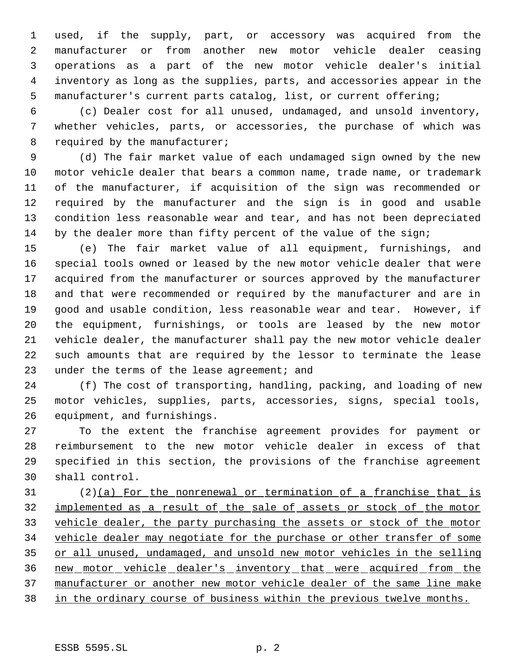used, if the supply, part, or accessory was acquired from the manufacturer or from another new motor vehicle dealer ceasing operations as a part of the new motor vehicle dealer's initial inventory as long as the supplies, parts, and accessories appear in the manufacturer's current parts catalog, list, or current offering;

 (c) Dealer cost for all unused, undamaged, and unsold inventory, whether vehicles, parts, or accessories, the purchase of which was 8 required by the manufacturer;

 (d) The fair market value of each undamaged sign owned by the new motor vehicle dealer that bears a common name, trade name, or trademark of the manufacturer, if acquisition of the sign was recommended or required by the manufacturer and the sign is in good and usable condition less reasonable wear and tear, and has not been depreciated 14 by the dealer more than fifty percent of the value of the sign;

 (e) The fair market value of all equipment, furnishings, and special tools owned or leased by the new motor vehicle dealer that were acquired from the manufacturer or sources approved by the manufacturer and that were recommended or required by the manufacturer and are in good and usable condition, less reasonable wear and tear. However, if the equipment, furnishings, or tools are leased by the new motor vehicle dealer, the manufacturer shall pay the new motor vehicle dealer such amounts that are required by the lessor to terminate the lease under the terms of the lease agreement; and

 (f) The cost of transporting, handling, packing, and loading of new motor vehicles, supplies, parts, accessories, signs, special tools, equipment, and furnishings.

 To the extent the franchise agreement provides for payment or reimbursement to the new motor vehicle dealer in excess of that specified in this section, the provisions of the franchise agreement shall control.

 (2)(a) For the nonrenewal or termination of a franchise that is implemented as a result of the sale of assets or stock of the motor vehicle dealer, the party purchasing the assets or stock of the motor vehicle dealer may negotiate for the purchase or other transfer of some 35 or all unused, undamaged, and unsold new motor vehicles in the selling new motor vehicle dealer's inventory that were acquired from the manufacturer or another new motor vehicle dealer of the same line make in the ordinary course of business within the previous twelve months.